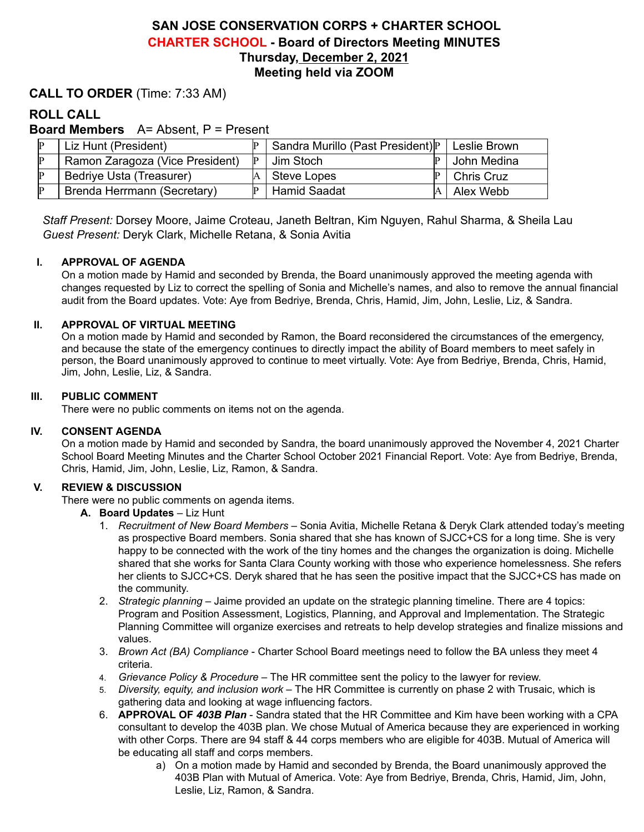# **SAN JOSE CONSERVATION CORPS + CHARTER SCHOOL CHARTER SCHOOL - Board of Directors Meeting MINUTES Thursday, December 2, 2021 Meeting held via ZOOM**

### **CALL TO ORDER** (Time: 7:33 AM)

## **ROLL CALL**

**Board Members** A= Absent, P = Present

| P | Liz Hunt (President)            | Sandra Murillo (Past President) P | Leslie Brown      |
|---|---------------------------------|-----------------------------------|-------------------|
| P | Ramon Zaragoza (Vice President) | Jim Stoch                         | John Medina       |
| P | Bedriye Usta (Treasurer)        | <b>Steve Lopes</b>                | <b>Chris Cruz</b> |
| P | Brenda Herrmann (Secretary)     | <b>Hamid Saadat</b>               | Alex Webb         |

*Staff Present:* Dorsey Moore, Jaime Croteau, Janeth Beltran, Kim Nguyen, Rahul Sharma, & Sheila Lau *Guest Present:* Deryk Clark, Michelle Retana, & Sonia Avitia

#### **I. APPROVAL OF AGENDA**

On a motion made by Hamid and seconded by Brenda, the Board unanimously approved the meeting agenda with changes requested by Liz to correct the spelling of Sonia and Michelle's names, and also to remove the annual financial audit from the Board updates. Vote: Aye from Bedriye, Brenda, Chris, Hamid, Jim, John, Leslie, Liz, & Sandra.

#### **II. APPROVAL OF VIRTUAL MEETING**

On a motion made by Hamid and seconded by Ramon, the Board reconsidered the circumstances of the emergency, and because the state of the emergency continues to directly impact the ability of Board members to meet safely in person, the Board unanimously approved to continue to meet virtually. Vote: Aye from Bedriye, Brenda, Chris, Hamid, Jim, John, Leslie, Liz, & Sandra.

#### **III. PUBLIC COMMENT**

There were no public comments on items not on the agenda.

#### **IV. CONSENT AGENDA**

On a motion made by Hamid and seconded by Sandra, the board unanimously approved the November 4, 2021 Charter School Board Meeting Minutes and the Charter School October 2021 Financial Report. Vote: Aye from Bedriye, Brenda, Chris, Hamid, Jim, John, Leslie, Liz, Ramon, & Sandra.

#### **V. REVIEW & DISCUSSION**

There were no public comments on agenda items.

- **A. Board Updates** Liz Hunt
	- 1. *Recruitment of New Board Members* Sonia Avitia, Michelle Retana & Deryk Clark attended today's meeting as prospective Board members. Sonia shared that she has known of SJCC+CS for a long time. She is very happy to be connected with the work of the tiny homes and the changes the organization is doing. Michelle shared that she works for Santa Clara County working with those who experience homelessness. She refers her clients to SJCC+CS. Deryk shared that he has seen the positive impact that the SJCC+CS has made on the community.
	- 2. *Strategic planning* Jaime provided an update on the strategic planning timeline. There are 4 topics: Program and Position Assessment, Logistics, Planning, and Approval and Implementation. The Strategic Planning Committee will organize exercises and retreats to help develop strategies and finalize missions and values.
	- 3. *Brown Act (BA) Compliance* Charter School Board meetings need to follow the BA unless they meet 4 criteria.
	- 4. *Grievance Policy & Procedure* The HR committee sent the policy to the lawyer for review.
	- 5. *Diversity, equity, and inclusion work* The HR Committee is currently on phase 2 with Trusaic, which is gathering data and looking at wage influencing factors.
	- 6. **APPROVAL OF** *403B Plan* Sandra stated that the HR Committee and Kim have been working with a CPA consultant to develop the 403B plan. We chose Mutual of America because they are experienced in working with other Corps. There are 94 staff & 44 corps members who are eligible for 403B. Mutual of America will be educating all staff and corps members.
		- a) On a motion made by Hamid and seconded by Brenda, the Board unanimously approved the 403B Plan with Mutual of America. Vote: Aye from Bedriye, Brenda, Chris, Hamid, Jim, John, Leslie, Liz, Ramon, & Sandra.